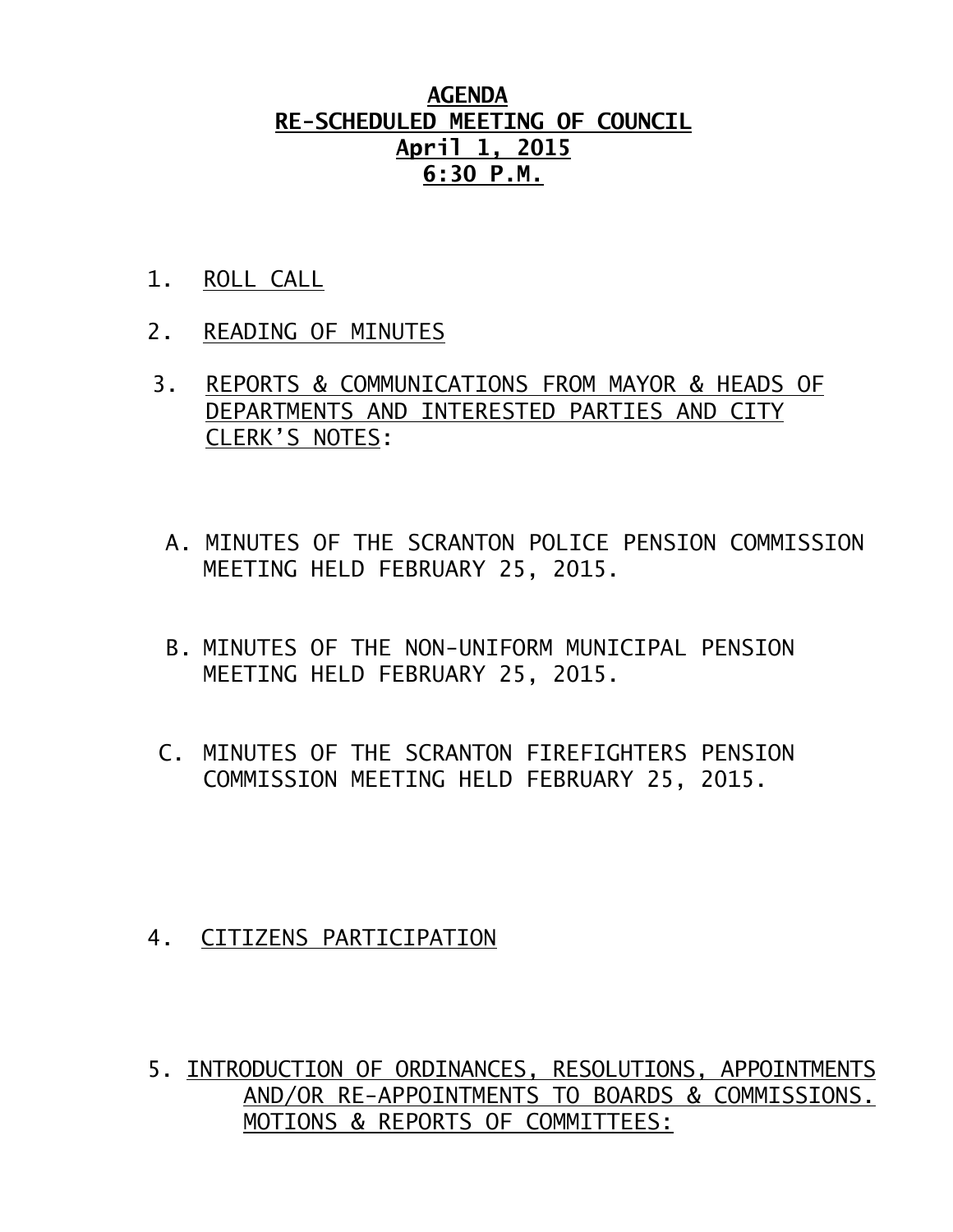## **AGENDA RE-SCHEDULED MEETING OF COUNCIL April 1, 2015 6:30 P.M.**

- 1. ROLL CALL
- 2. READING OF MINUTES
- 3. REPORTS & COMMUNICATIONS FROM MAYOR & HEADS OF DEPARTMENTS AND INTERESTED PARTIES AND CITY CLERK'S NOTES:
	- A. MINUTES OF THE SCRANTON POLICE PENSION COMMISSION MEETING HELD FEBRUARY 25, 2015.
	- B. MINUTES OF THE NON-UNIFORM MUNICIPAL PENSION MEETING HELD FEBRUARY 25, 2015.
- C. MINUTES OF THE SCRANTON FIREFIGHTERS PENSION COMMISSION MEETING HELD FEBRUARY 25, 2015.

- 4. CITIZENS PARTICIPATION
- 5. INTRODUCTION OF ORDINANCES, RESOLUTIONS, APPOINTMENTS AND/OR RE-APPOINTMENTS TO BOARDS & COMMISSIONS. MOTIONS & REPORTS OF COMMITTEES: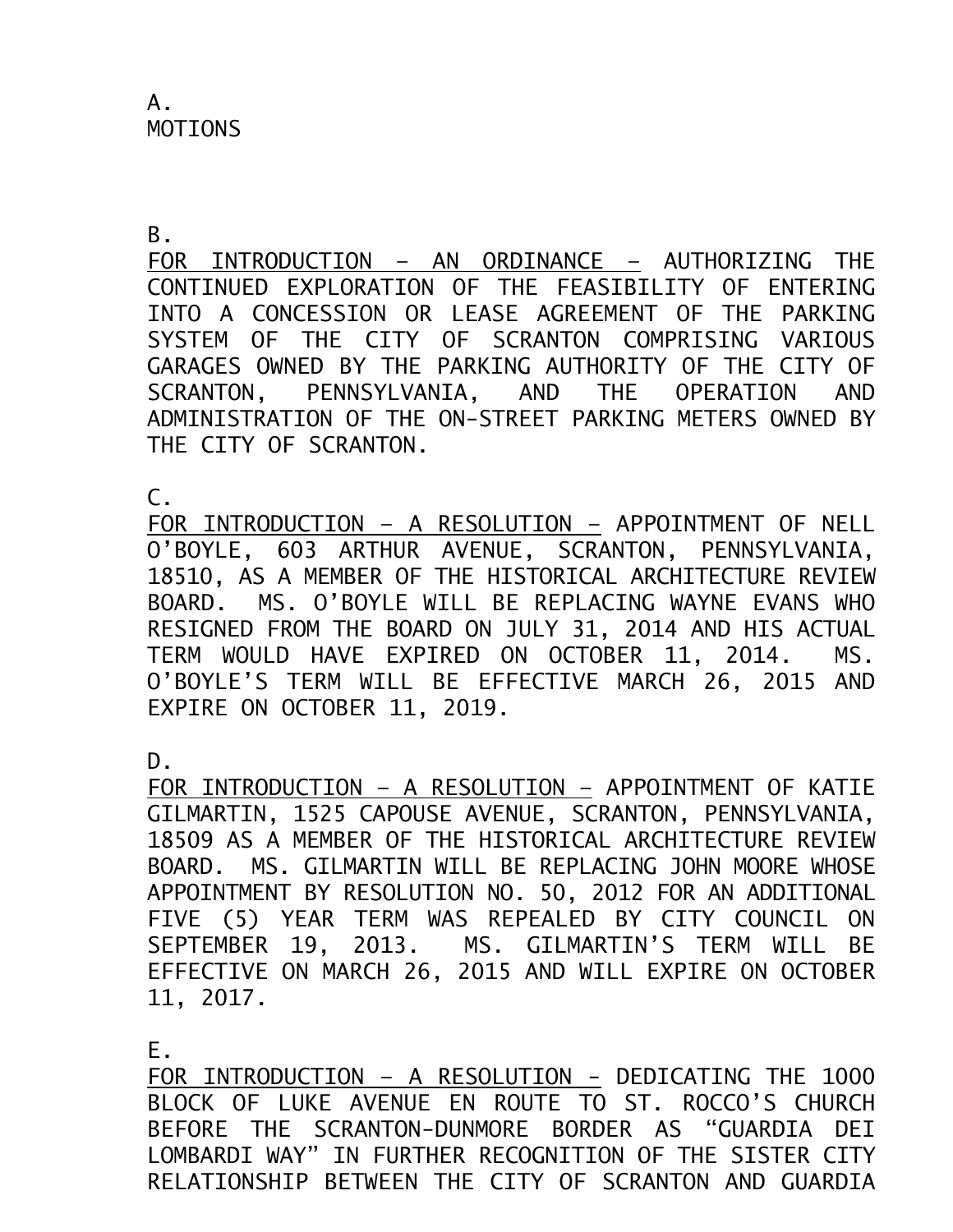A. MOTIONS

B.

FOR INTRODUCTION – AN ORDINANCE – AUTHORIZING THE CONTINUED EXPLORATION OF THE FEASIBILITY OF ENTERING INTO A CONCESSION OR LEASE AGREEMENT OF THE PARKING SYSTEM OF THE CITY OF SCRANTON COMPRISING VARIOUS GARAGES OWNED BY THE PARKING AUTHORITY OF THE CITY OF SCRANTON, PENNSYLVANIA, AND THE OPERATION AND ADMINISTRATION OF THE ON-STREET PARKING METERS OWNED BY THE CITY OF SCRANTON.

 $\mathsf{C}$ .

FOR INTRODUCTION – A RESOLUTION – APPOINTMENT OF NELL O'BOYLE, 603 ARTHUR AVENUE, SCRANTON, PENNSYLVANIA, 18510, AS A MEMBER OF THE HISTORICAL ARCHITECTURE REVIEW BOARD. MS. O'BOYLE WILL BE REPLACING WAYNE EVANS WHO RESIGNED FROM THE BOARD ON JULY 31, 2014 AND HIS ACTUAL TERM WOULD HAVE EXPIRED ON OCTOBER 11, 2014. MS. O'BOYLE'S TERM WILL BE EFFECTIVE MARCH 26, 2015 AND EXPIRE ON OCTOBER 11, 2019.

D.

FOR INTRODUCTION – A RESOLUTION – APPOINTMENT OF KATIE GILMARTIN, 1525 CAPOUSE AVENUE, SCRANTON, PENNSYLVANIA, 18509 AS A MEMBER OF THE HISTORICAL ARCHITECTURE REVIEW BOARD. MS. GILMARTIN WILL BE REPLACING JOHN MOORE WHOSE APPOINTMENT BY RESOLUTION NO. 50, 2012 FOR AN ADDITIONAL FIVE (5) YEAR TERM WAS REPEALED BY CITY COUNCIL ON SEPTEMBER 19, 2013. MS. GILMARTIN'S TERM WILL BE EFFECTIVE ON MARCH 26, 2015 AND WILL EXPIRE ON OCTOBER 11, 2017.

E.

FOR INTRODUCTION – A RESOLUTION - DEDICATING THE 1000 BLOCK OF LUKE AVENUE EN ROUTE TO ST. ROCCO'S CHURCH BEFORE THE SCRANTON-DUNMORE BORDER AS "GUARDIA DEI LOMBARDI WAY" IN FURTHER RECOGNITION OF THE SISTER CITY RELATIONSHIP BETWEEN THE CITY OF SCRANTON AND GUARDIA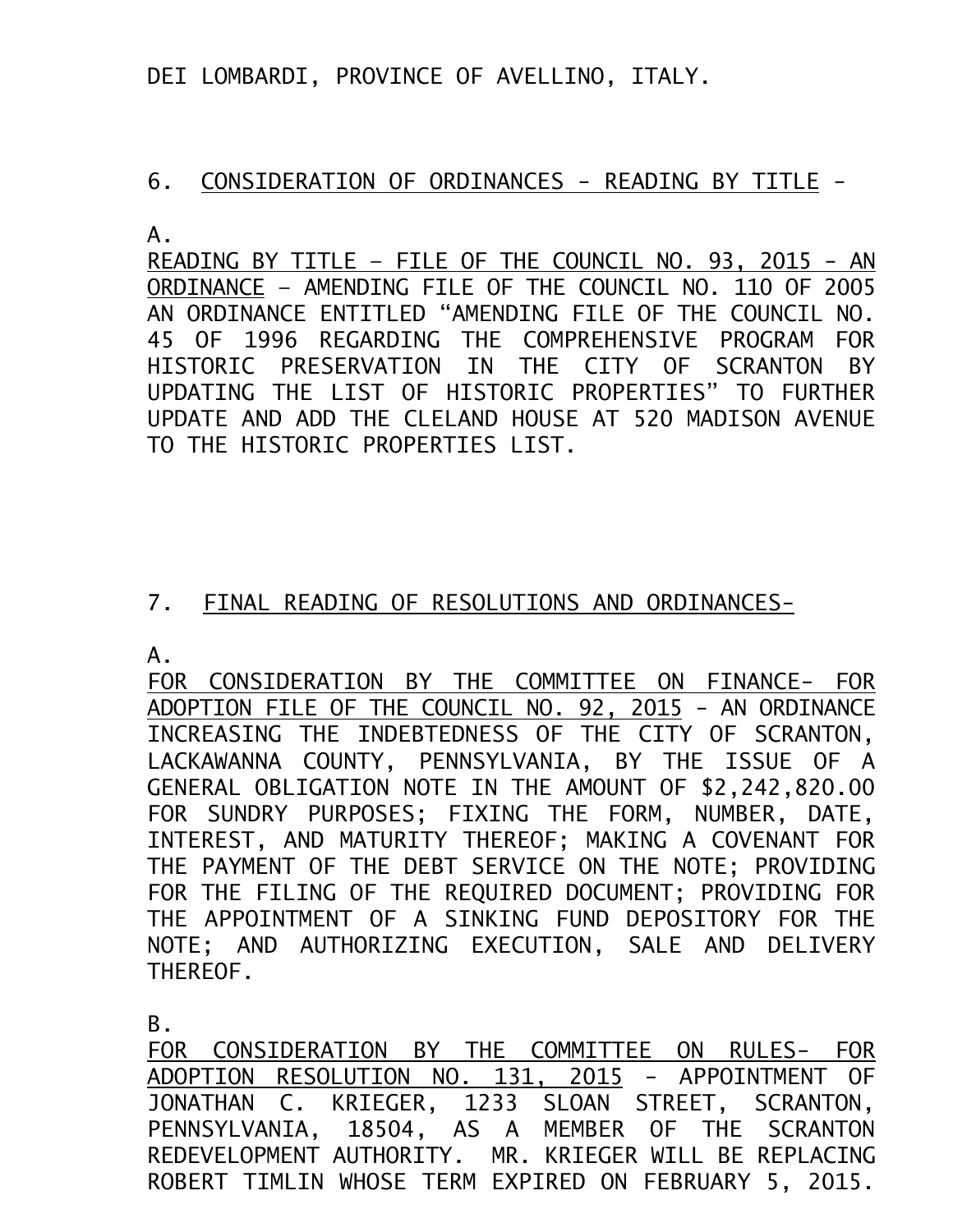DEI LOMBARDI, PROVINCE OF AVELLINO, ITALY.

## 6. CONSIDERATION OF ORDINANCES - READING BY TITLE -

A.

READING BY TITLE – FILE OF THE COUNCIL NO. 93, 2015 - AN ORDINANCE – AMENDING FILE OF THE COUNCIL NO. 110 OF 2005 AN ORDINANCE ENTITLED "AMENDING FILE OF THE COUNCIL NO. 45 OF 1996 REGARDING THE COMPREHENSIVE PROGRAM FOR HISTORIC PRESERVATION IN THE CITY OF SCRANTON BY UPDATING THE LIST OF HISTORIC PROPERTIES" TO FURTHER UPDATE AND ADD THE CLELAND HOUSE AT 520 MADISON AVENUE TO THE HISTORIC PROPERTIES LIST.

## 7. FINAL READING OF RESOLUTIONS AND ORDINANCES-

A.

FOR CONSIDERATION BY THE COMMITTEE ON FINANCE- FOR ADOPTION FILE OF THE COUNCIL NO. 92, 2015 - AN ORDINANCE INCREASING THE INDEBTEDNESS OF THE CITY OF SCRANTON, LACKAWANNA COUNTY, PENNSYLVANIA, BY THE ISSUE OF A GENERAL OBLIGATION NOTE IN THE AMOUNT OF \$2,242,820.00 FOR SUNDRY PURPOSES; FIXING THE FORM, NUMBER, DATE, INTEREST, AND MATURITY THEREOF; MAKING A COVENANT FOR THE PAYMENT OF THE DEBT SERVICE ON THE NOTE; PROVIDING FOR THE FILING OF THE REQUIRED DOCUMENT; PROVIDING FOR THE APPOINTMENT OF A SINKING FUND DEPOSITORY FOR THE NOTE; AND AUTHORIZING EXECUTION, SALE AND DELIVERY THEREOF.

B.

FOR CONSIDERATION BY THE COMMITTEE ON RULES- FOR ADOPTION RESOLUTION NO. 131, 2015 - APPOINTMENT OF JONATHAN C. KRIEGER, 1233 SLOAN STREET, SCRANTON, PENNSYLVANIA, 18504, AS A MEMBER OF THE SCRANTON REDEVELOPMENT AUTHORITY. MR. KRIEGER WILL BE REPLACING ROBERT TIMLIN WHOSE TERM EXPIRED ON FEBRUARY 5, 2015.